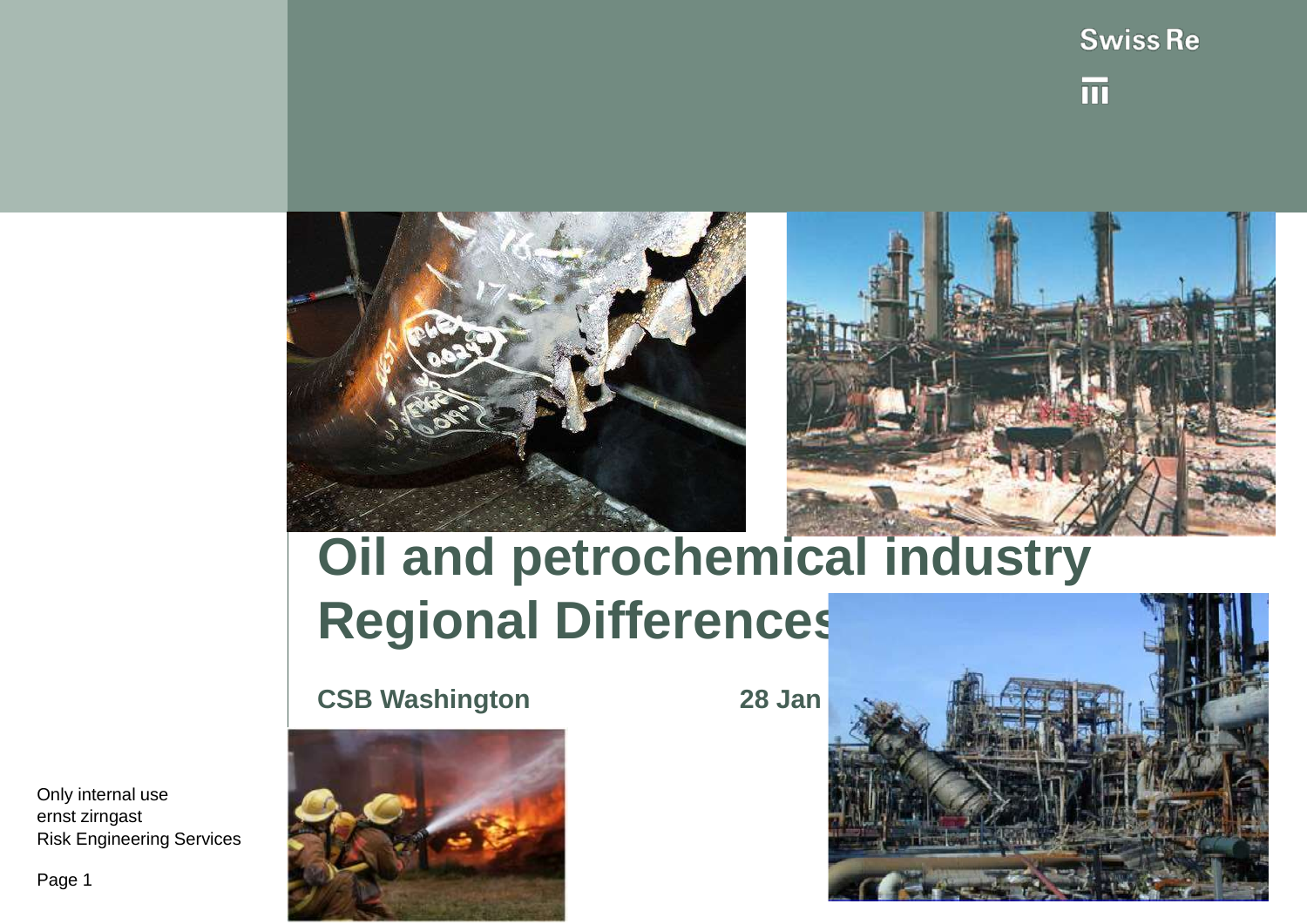





# **Oil and petrochemical industry Regional Differences**

**CSB Washington 28 Jan** 



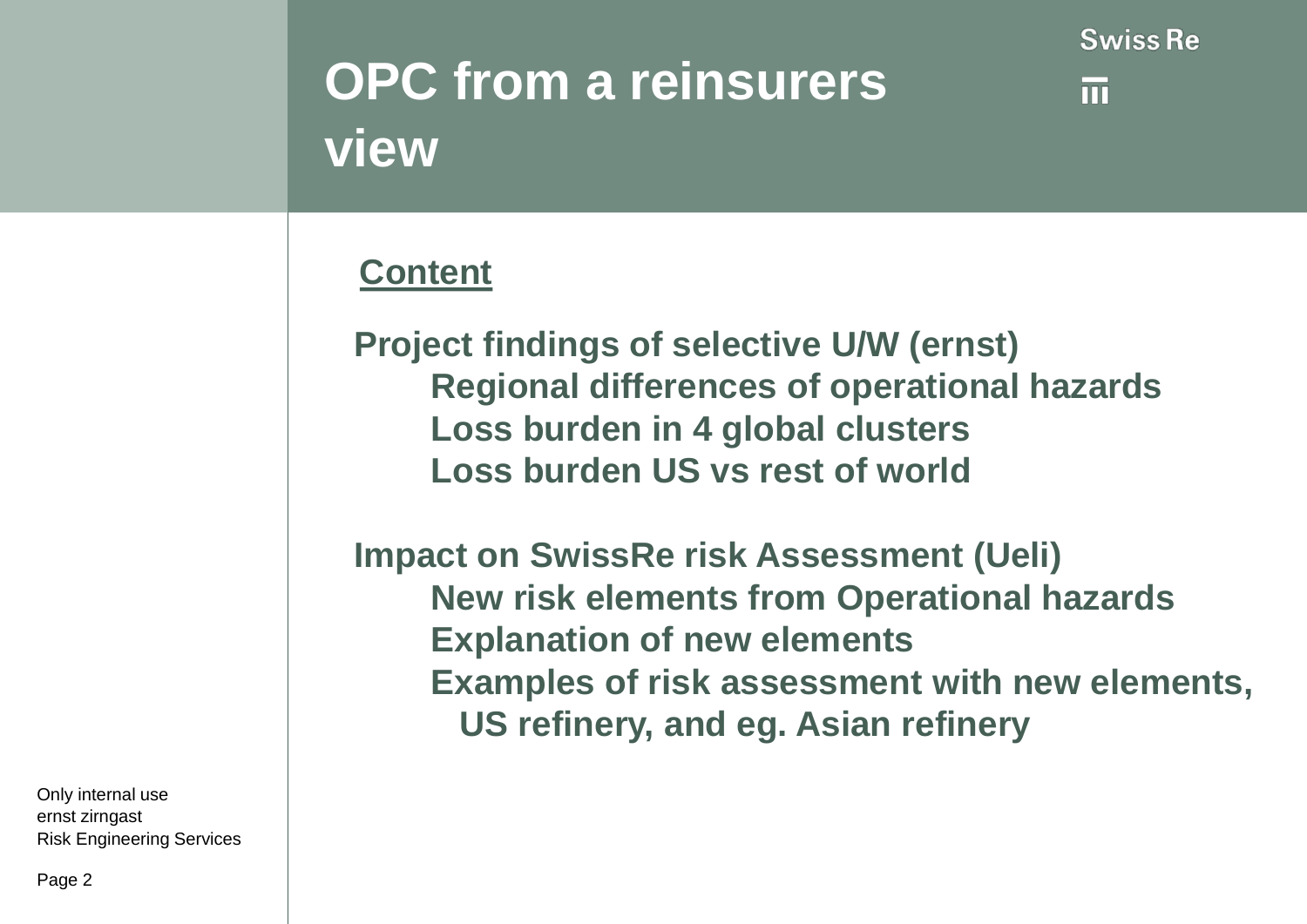# **OPC from a reinsurers view**

m

### **Content**

**Project findings of selective U/W (ernst) Regional differences of operational hazards Loss burden in 4 global clusters Loss burden US vs rest of world**

**Impact on SwissRe risk Assessment (Ueli) New risk elements from Operational hazards Explanation of new elements Examples of risk assessment with new elements, US refinery, and eg. Asian refinery**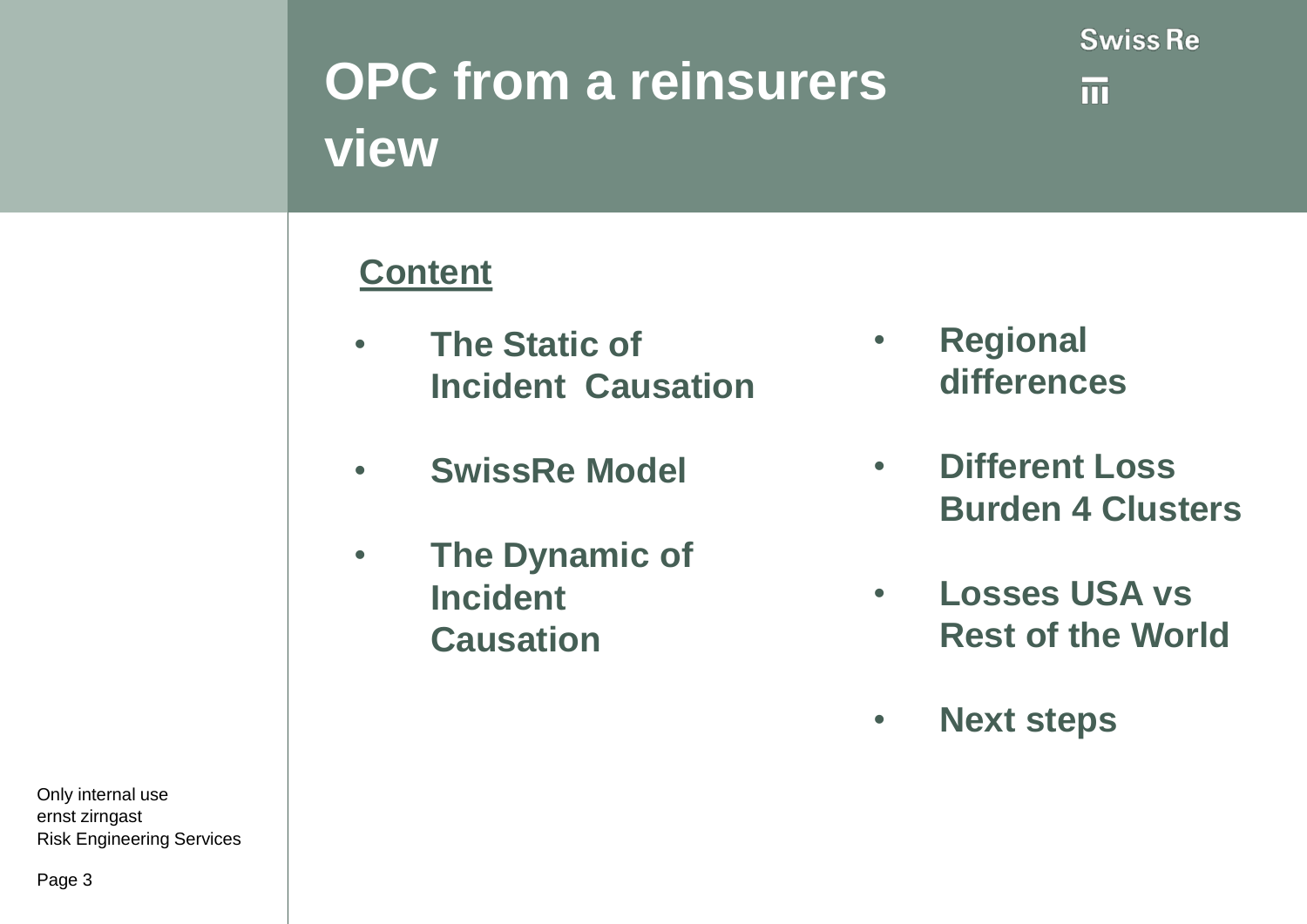

而

# **OPC from a reinsurers view**

### **Content**

- **The Static of Incident Causation**
- **SwissRe Model**
- **The Dynamic of Incident Causation**
- **Regional differences**
- **Different Loss Burden 4 Clusters**
- **Losses USA vs Rest of the World**
- **Next steps**

Only internal use ernst zirngast Risk Engineering Services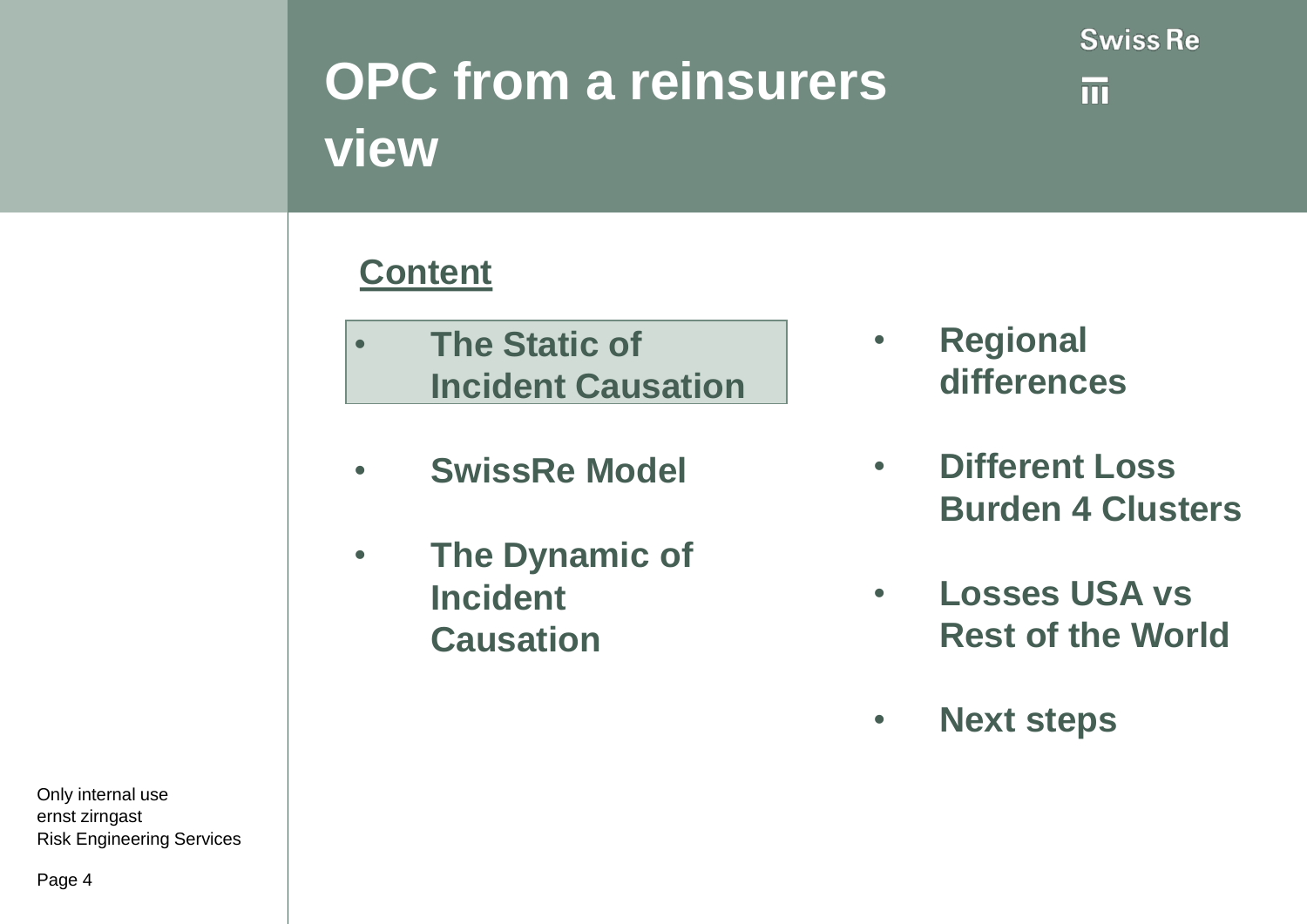

而

# **OPC from a reinsurers view**

### **Content**

- **The Static of Incident Causation**
- **SwissRe Model**
- **The Dynamic of Incident Causation**
- **Regional differences**
- **Different Loss Burden 4 Clusters**
- **Losses USA vs Rest of the World**
- **Next steps**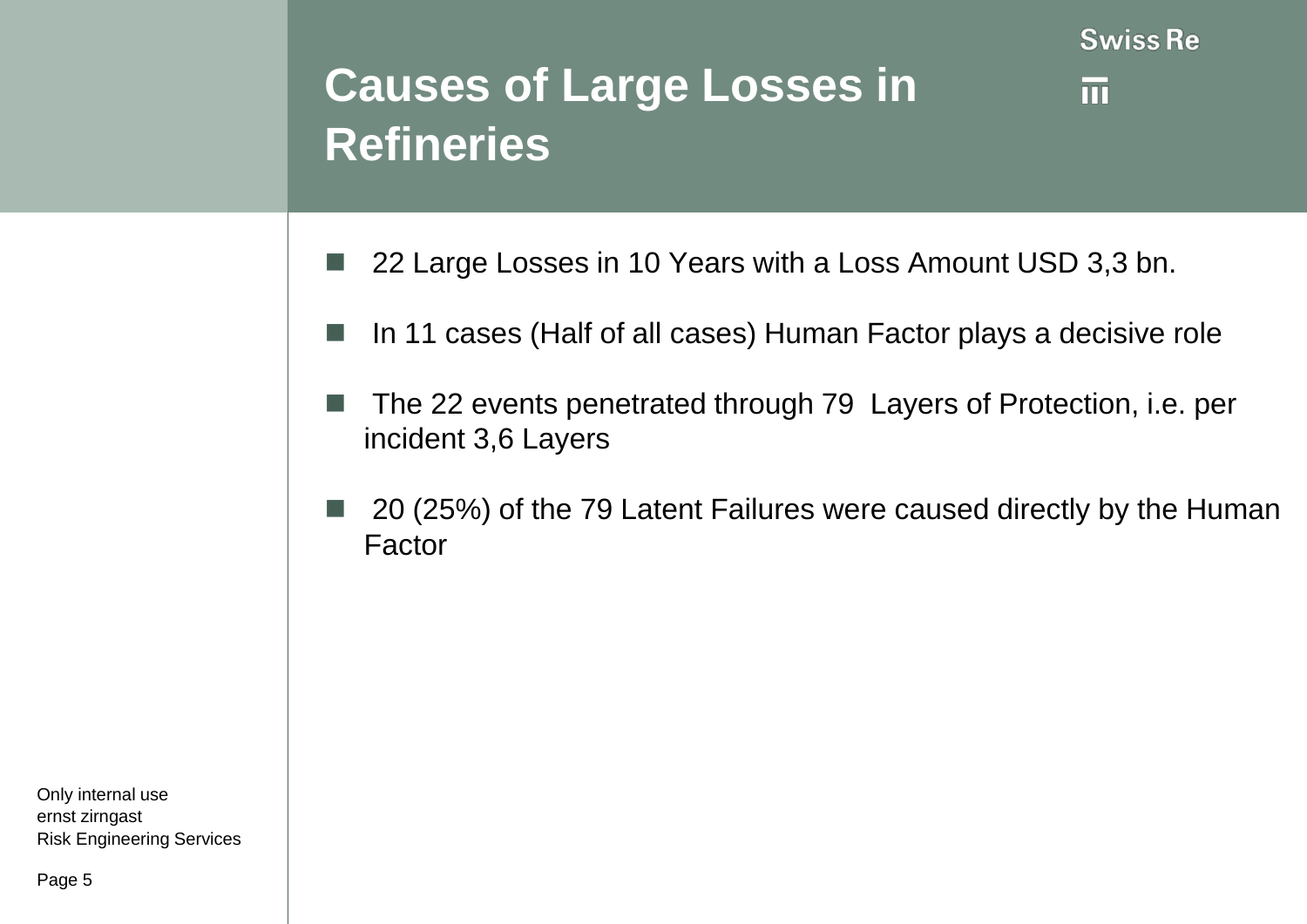### **Causes of Large Losses in Refineries**

m

- 22 Large Losses in 10 Years with a Loss Amount USD 3,3 bn.
- In 11 cases (Half of all cases) Human Factor plays a decisive role
- The 22 events penetrated through 79 Layers of Protection, i.e. per incident 3,6 Layers
- 20 (25%) of the 79 Latent Failures were caused directly by the Human Factor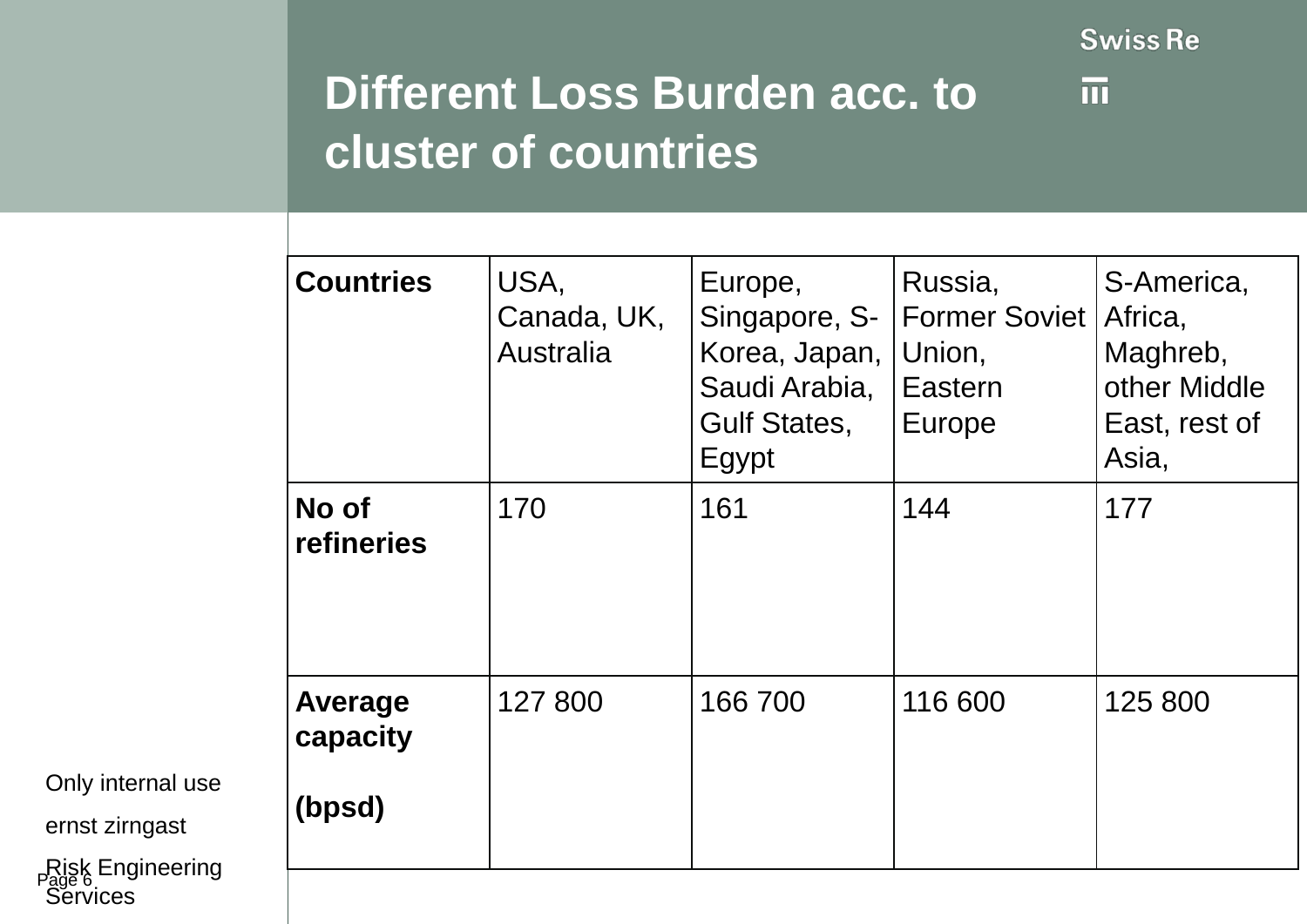$\overline{\mathfrak{m}}$ 

### **Different Loss Burden acc. to cluster of countries**

| <b>Countries</b>              | USA,<br>Canada, UK,<br><b>Australia</b> | Europe,<br>Korea, Japan,  <br>Saudi Arabia,<br><b>Gulf States,</b><br>Egypt | Russia,<br>Singapore, S-   Former Soviet<br>Union,<br>Eastern<br>Europe | S-America,<br>Africa,<br>Maghreb,<br>other Middle<br>East, rest of<br>Asia, |
|-------------------------------|-----------------------------------------|-----------------------------------------------------------------------------|-------------------------------------------------------------------------|-----------------------------------------------------------------------------|
| No of<br>refineries           | 170                                     | 161                                                                         | 144                                                                     | 177                                                                         |
| Average<br>capacity<br>(bpsd) | 127 800                                 | 166 700                                                                     | 116 600                                                                 | 125 800                                                                     |

Only internal use

ernst zirngast

Risk Engineering **Services**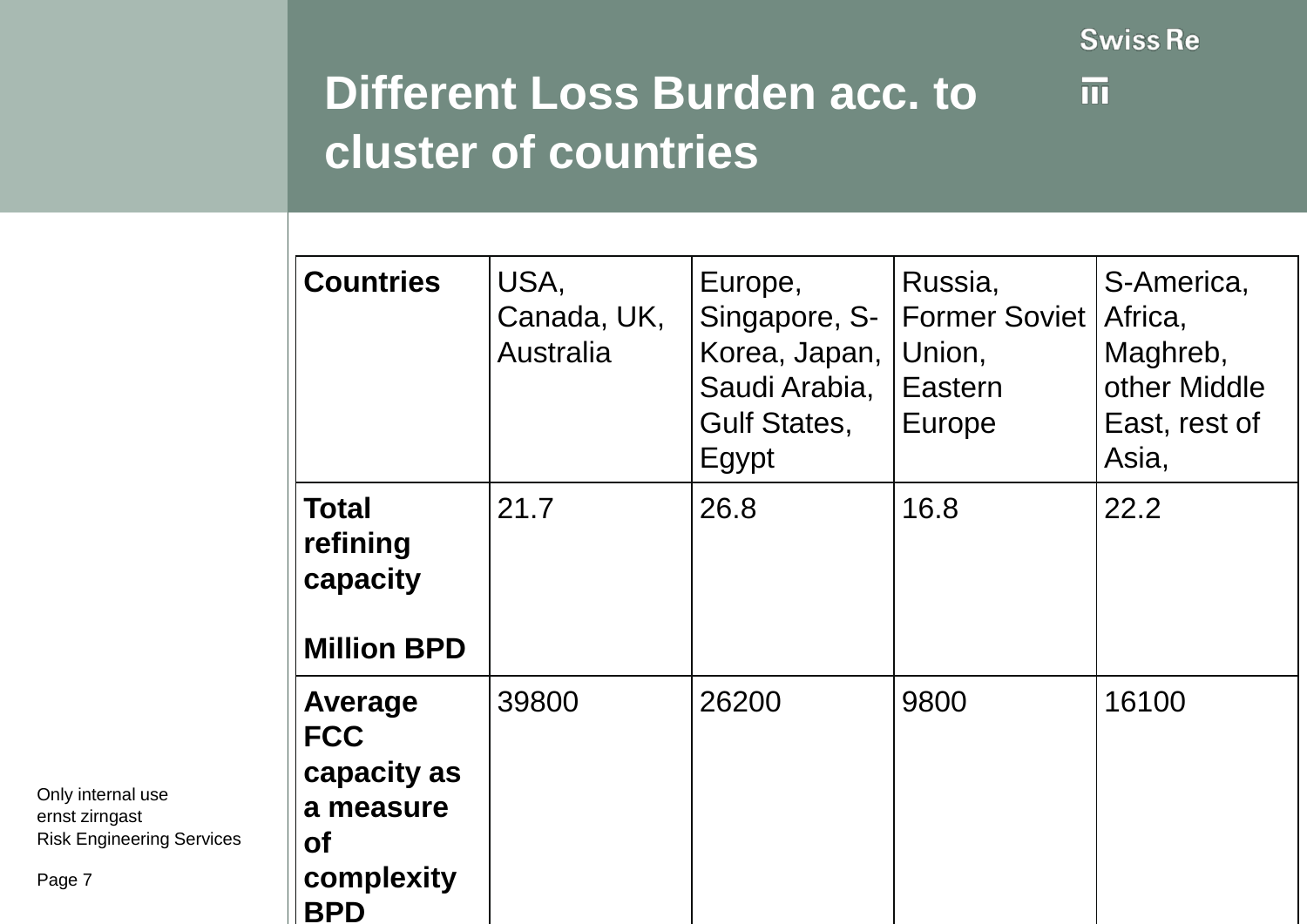$\overline{\mathfrak{m}}$ 

### **Different Loss Burden acc. to cluster of countries**

| <b>Countries</b>                                                                                  | USA,<br>Canada, UK,<br><b>Australia</b> | Europe,<br>Singapore, S-<br>Korea, Japan,<br>Saudi Arabia,<br><b>Gulf States,</b><br>Egypt | Russia,<br>Former Soviet   Africa,<br>Union,<br>Eastern<br>Europe | S-America,<br>Maghreb,<br>other Middle<br>East, rest of<br>Asia, |
|---------------------------------------------------------------------------------------------------|-----------------------------------------|--------------------------------------------------------------------------------------------|-------------------------------------------------------------------|------------------------------------------------------------------|
| <b>Total</b><br>refining<br>capacity<br><b>Million BPD</b>                                        | 21.7                                    | 26.8                                                                                       | 16.8                                                              | 22.2                                                             |
| <b>Average</b><br><b>FCC</b><br>capacity as<br>a measure<br><b>of</b><br>complexity<br><b>BPD</b> | 39800                                   | 26200                                                                                      | 9800                                                              | 16100                                                            |

Only internal use ernst zirngast Risk Engineering Services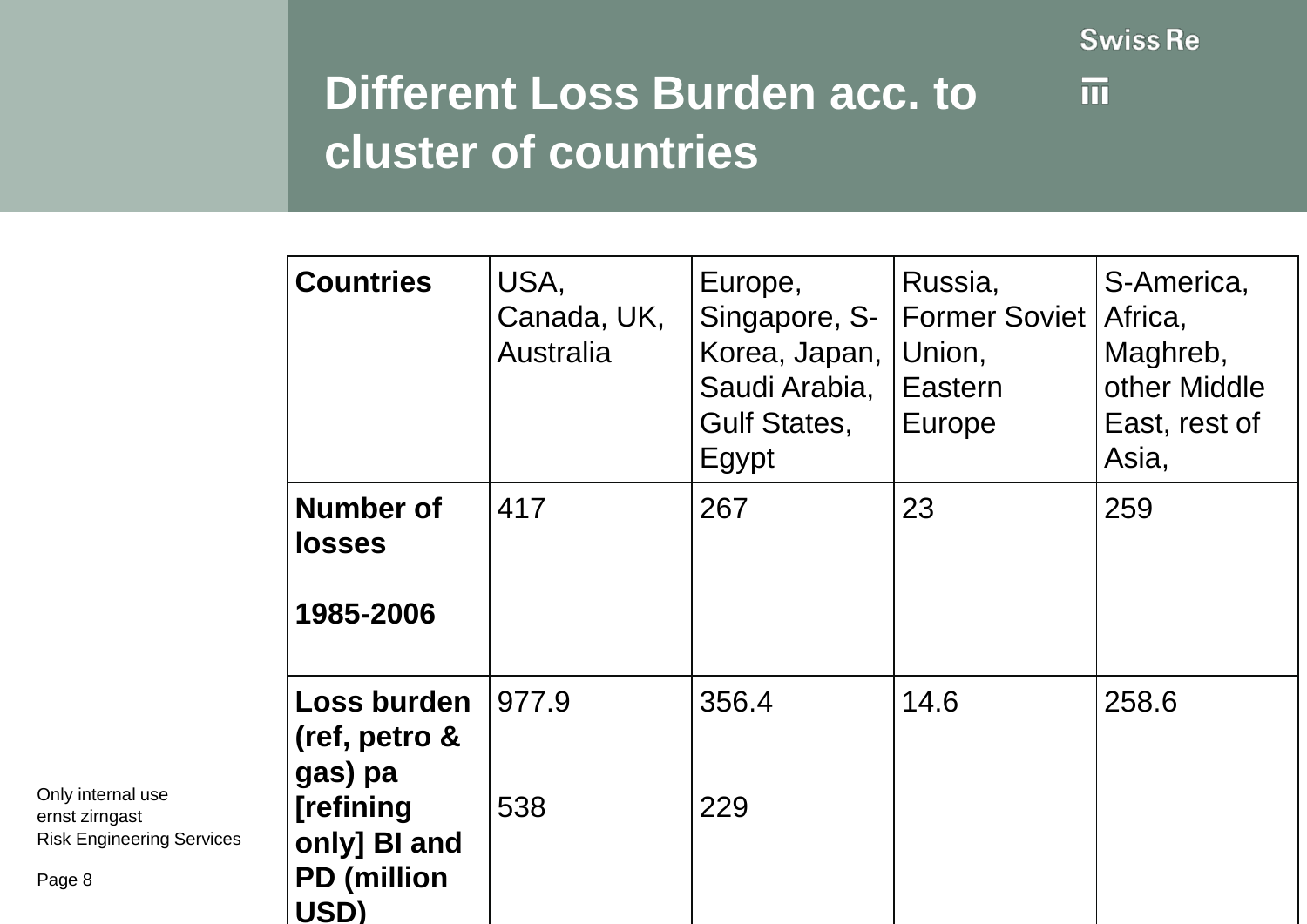$\overline{\mathfrak{m}}$ 

### **Different Loss Burden acc. to cluster of countries**

| <b>Countries</b>                                                                           | USA,<br>Canada, UK,<br>Australia | Europe,<br>Korea, Japan,<br>Saudi Arabia,<br><b>Gulf States,</b><br>Egypt | Russia,<br>Singapore, S-   Former Soviet  <br>Union,<br>Eastern<br><b>Europe</b> | S-America,<br>Africa,<br>Maghreb,<br>other Middle<br>East, rest of<br>Asia, |
|--------------------------------------------------------------------------------------------|----------------------------------|---------------------------------------------------------------------------|----------------------------------------------------------------------------------|-----------------------------------------------------------------------------|
| <b>Number of</b><br><b>losses</b><br>1985-2006                                             | 417                              | 267                                                                       | 23                                                                               | 259                                                                         |
| Loss burden<br>(ref, petro &<br>gas) pa<br>[refining<br>only] BI and<br><b>PD</b> (million | 977.9<br>538                     | 356.4<br>229                                                              | 14.6                                                                             | 258.6                                                                       |

Only internal use ernst zirngast Risk Engineering Services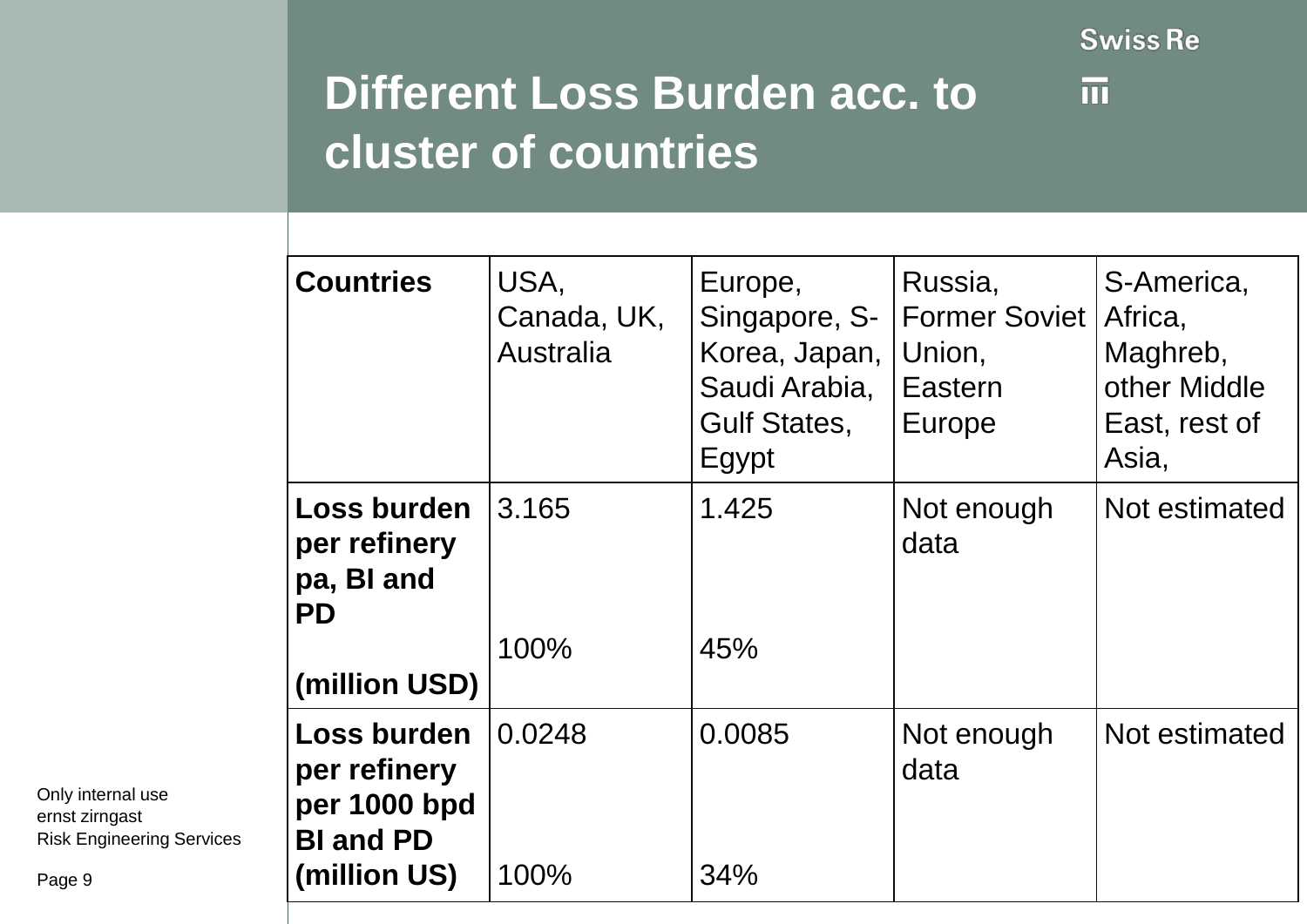$\overline{\mathfrak{m}}$ 

## **Different Loss Burden acc. to cluster of countries**

| <b>Countries</b>                                                                | USA,<br>Canada, UK,<br>Australia | Europe,<br>Singapore, S-<br>Korea, Japan,<br>Saudi Arabia,<br><b>Gulf States,</b><br>Egypt | Russia,<br><b>Former Soviet</b><br>Union,<br>Eastern<br>Europe | S-America,<br>Africa,<br>Maghreb,<br>other Middle<br>East, rest of<br>Asia, |
|---------------------------------------------------------------------------------|----------------------------------|--------------------------------------------------------------------------------------------|----------------------------------------------------------------|-----------------------------------------------------------------------------|
| Loss burden<br>per refinery<br>pa, BI and<br><b>PD</b><br>(million USD)         | 3.165<br>100%                    | 1.425<br>45%                                                                               | Not enough<br>data                                             | Not estimated                                                               |
| Loss burden<br>per refinery<br>per 1000 bpd<br><b>BI and PD</b><br>(million US) | 0.0248<br>100%                   | 0.0085<br>34%                                                                              | Not enough<br>data                                             | Not estimated                                                               |

Only internal use ernst zirngast Risk Engineering Services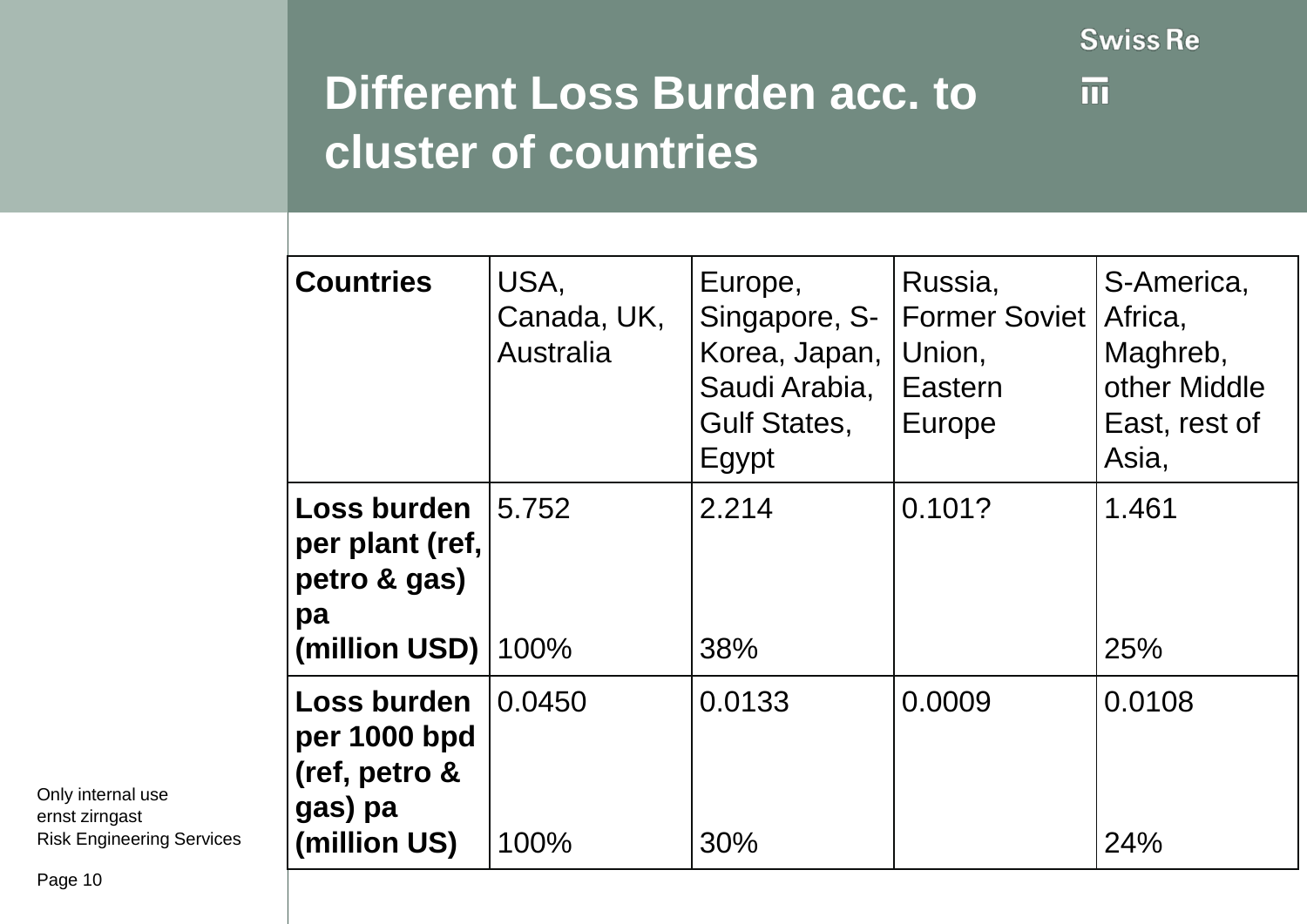$\overline{\mathfrak{m}}$ 

### **Different Loss Burden acc. to cluster of countries**

| <b>Countries</b>                                                        | USA,<br>Canada, UK,<br><b>Australia</b> | Europe,<br>Singapore, S-<br>Korea, Japan,<br>Saudi Arabia,<br><b>Gulf States,</b><br>Egypt | Russia,<br><b>Former Soviet</b><br>Union,<br>Eastern<br>Europe | S-America,<br>Africa,<br>Maghreb,<br>other Middle<br>East, rest of<br>Asia, |
|-------------------------------------------------------------------------|-----------------------------------------|--------------------------------------------------------------------------------------------|----------------------------------------------------------------|-----------------------------------------------------------------------------|
| Loss burden<br>per plant (ref,<br>petro & gas)<br>pa<br>(million USD)   | 5.752<br>100%                           | 2.214<br>38%                                                                               | 0.101?                                                         | 1.461<br>25%                                                                |
| Loss burden<br>per 1000 bpd<br>(ref, petro &<br>gas) pa<br>(million US) | 0.0450<br>100%                          | 0.0133<br>30%                                                                              | 0.0009                                                         | 0.0108<br>24%                                                               |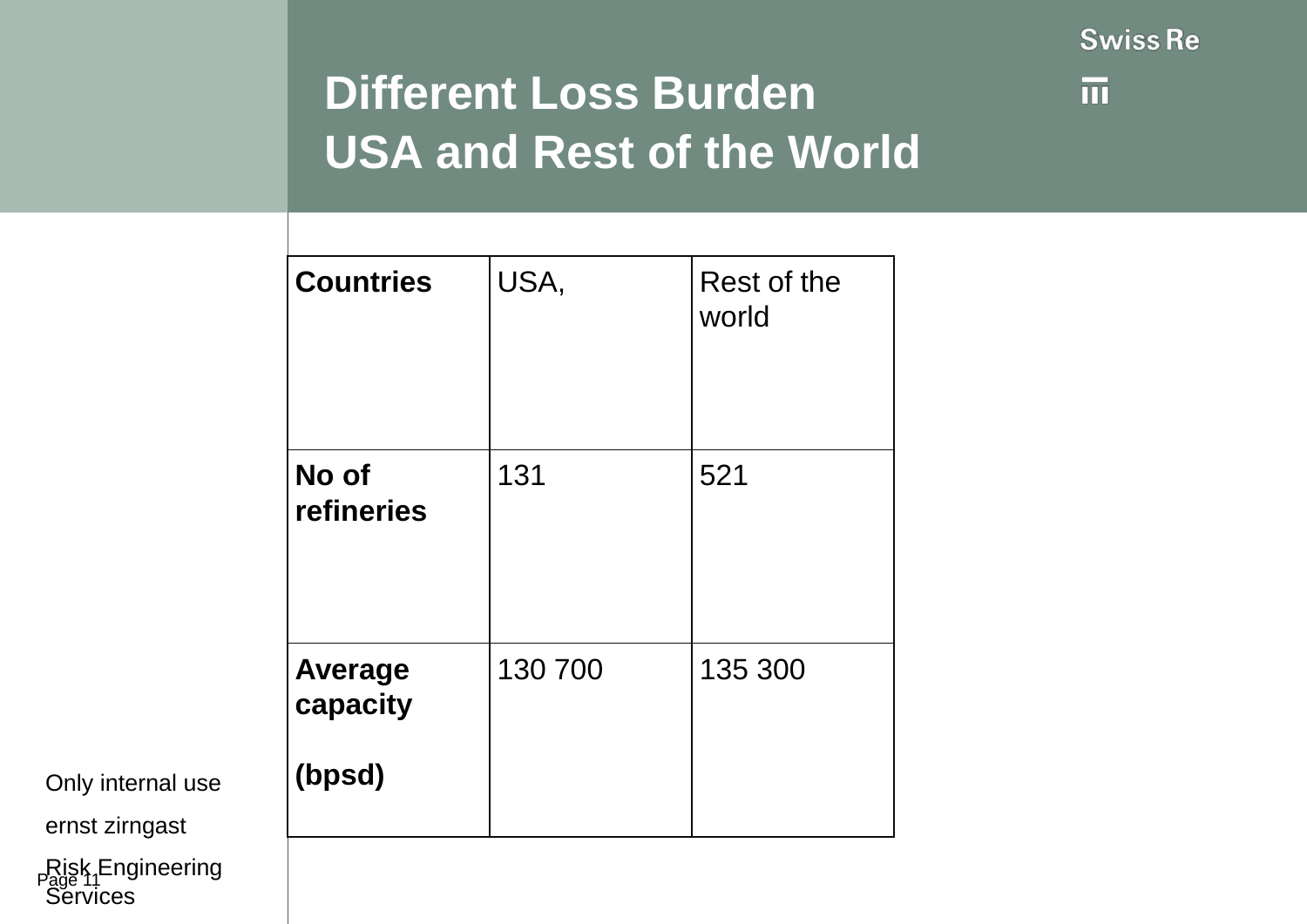

## **Different Loss Burden USA and Rest of the World**

| <b>Countries</b>                     | USA,    | Rest of the<br>world |
|--------------------------------------|---------|----------------------|
| No of<br>refineries                  | 131     | 521                  |
| <b>Average</b><br>capacity<br>(bpsd) | 130 700 | 135 300              |
|                                      |         |                      |

Only internal use

ernst zirngast

Risk<sub>1</sub>Engineering **Services**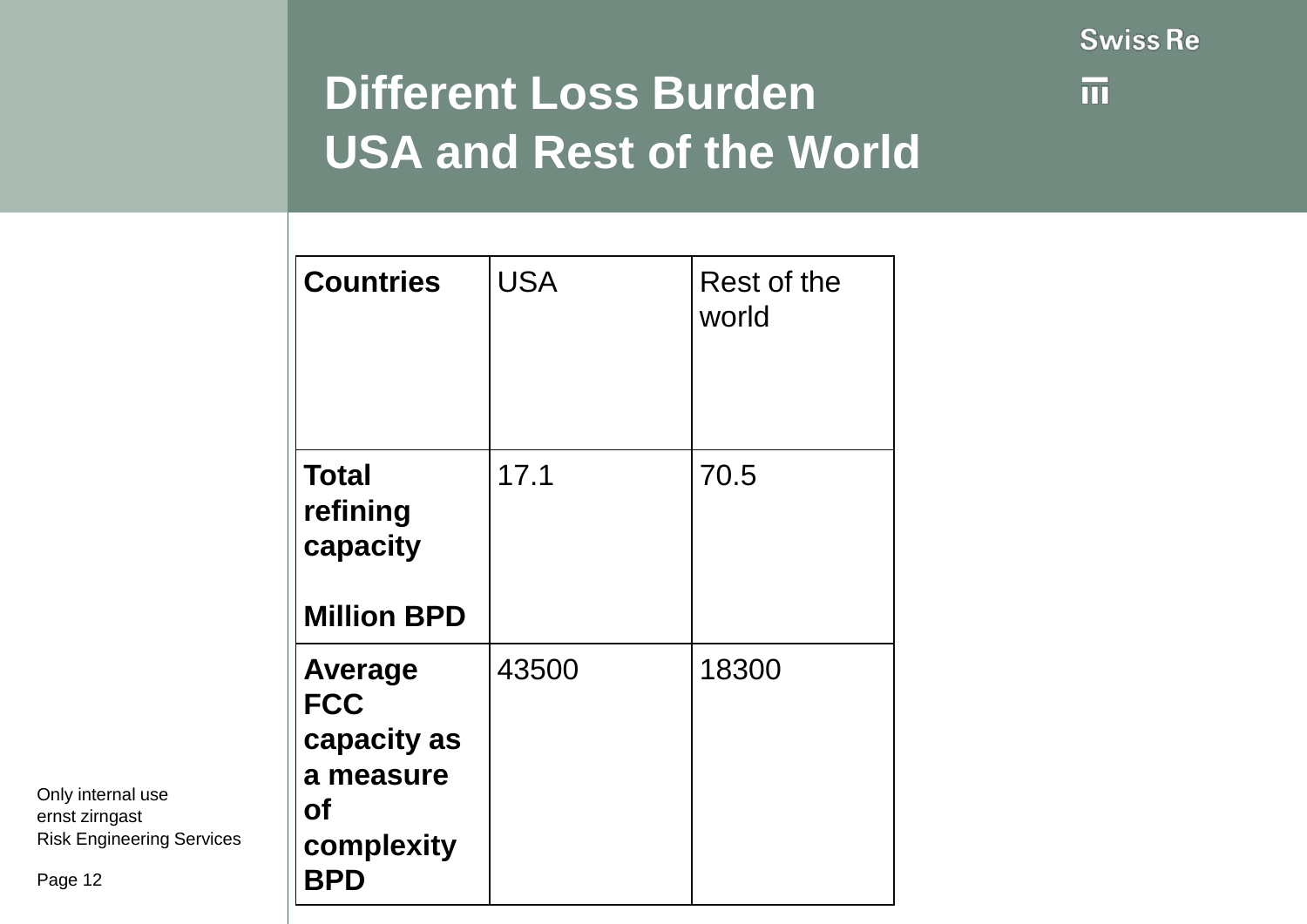

## **Different Loss Burden USA and Rest of the World**

| <b>Countries</b>                                                                                  | <b>USA</b> | Rest of the<br>world |
|---------------------------------------------------------------------------------------------------|------------|----------------------|
| <b>Total</b><br>refining<br>capacity<br><b>Million BPD</b>                                        | 17.1       | 70.5                 |
| <b>Average</b><br><b>FCC</b><br>capacity as<br>a measure<br><b>of</b><br>complexity<br><b>BPD</b> | 43500      | 18300                |

Only internal use ernst zirngast Risk Engineering Services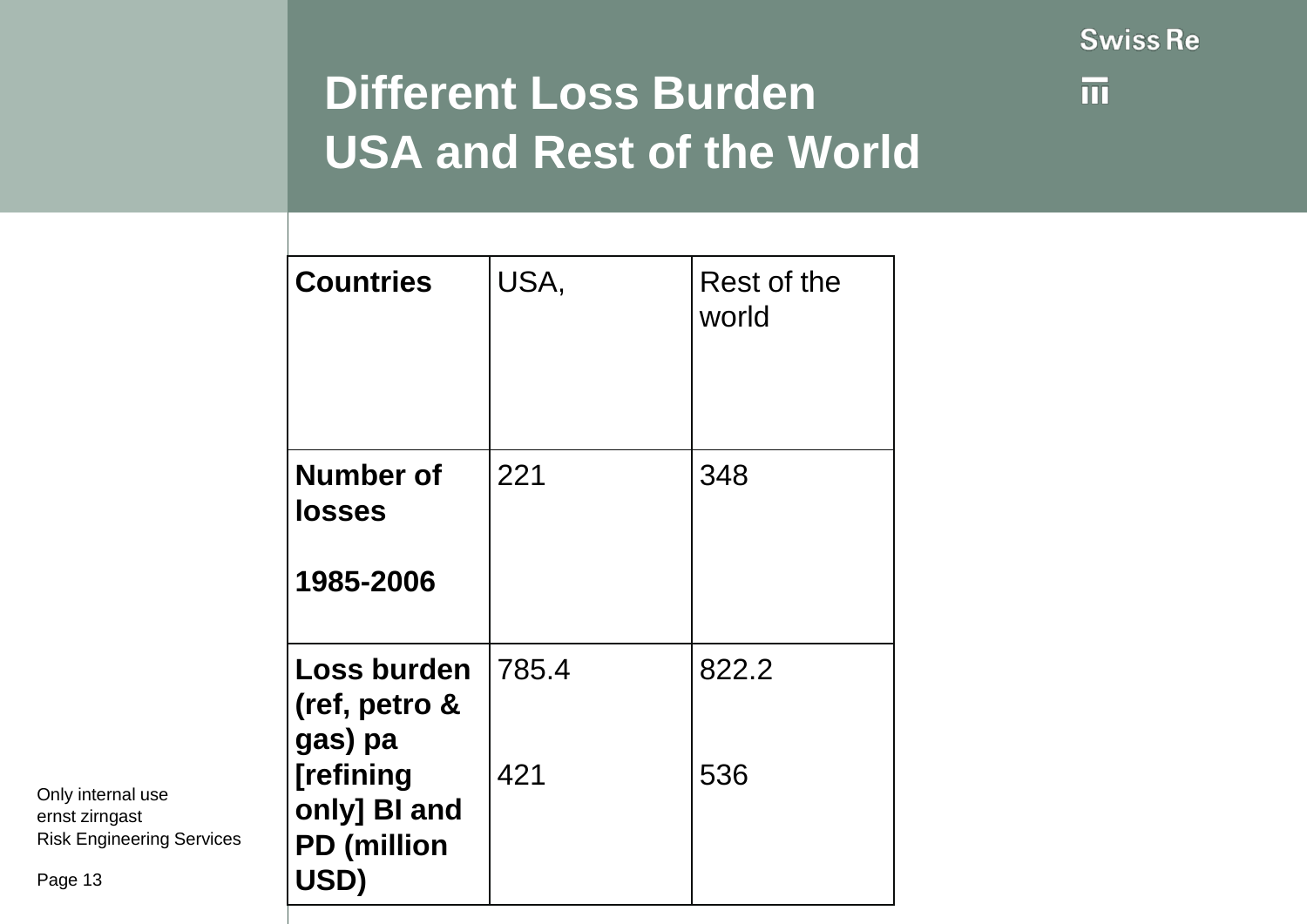

## **Different Loss Burden USA and Rest of the World**

| <b>Countries</b>                                        | USA,  | Rest of the<br>world |
|---------------------------------------------------------|-------|----------------------|
| <b>Number of</b><br><b>losses</b><br>1985-2006          | 221   | 348                  |
| <b>Loss burden</b><br>(ref, petro &<br>gas) pa          | 785.4 | 822.2                |
| [refining<br>only] BI and<br><b>PD</b> (million<br>USD) | 421   | 536                  |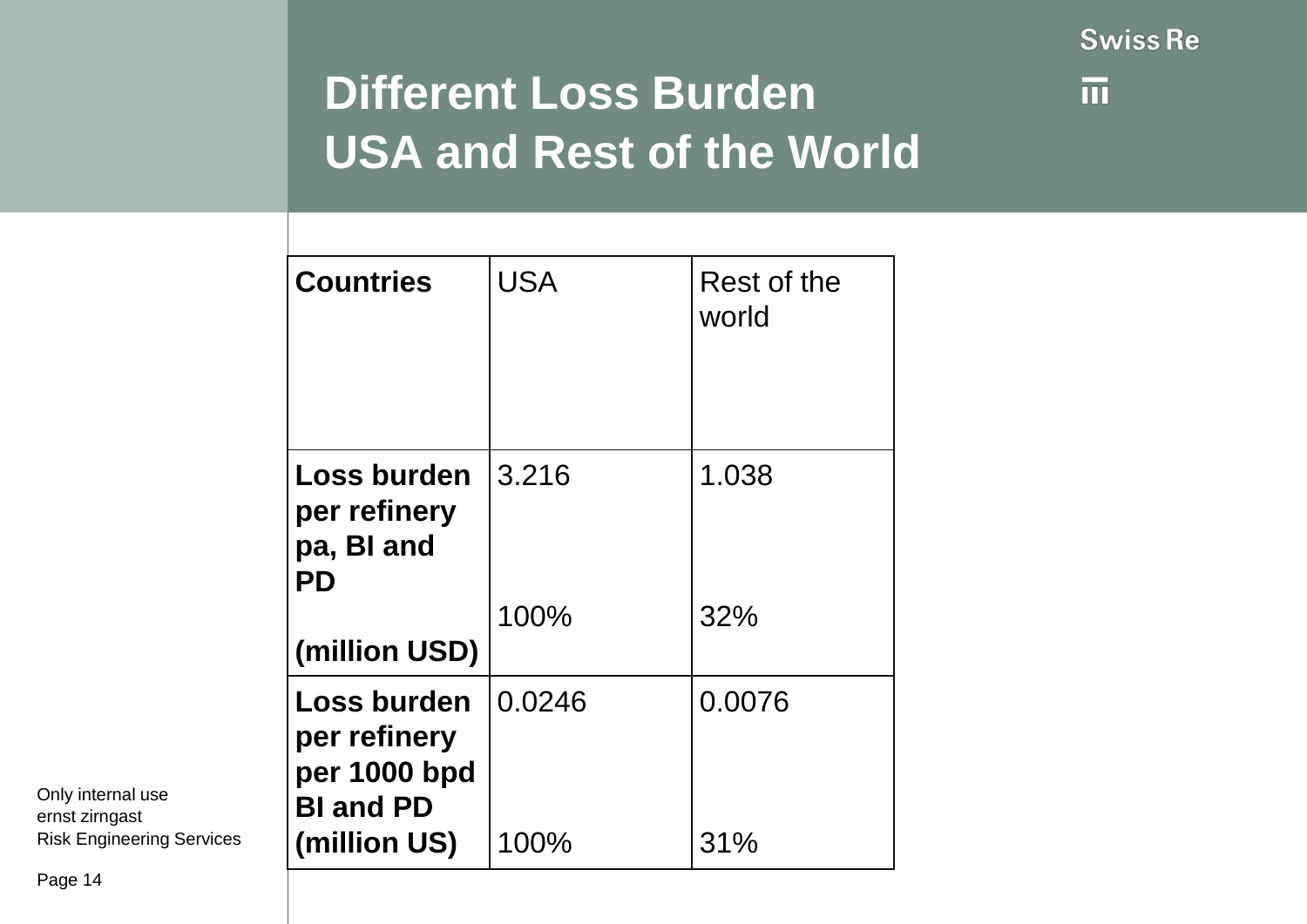

## **Different Loss Burden USA and Rest of the World**

| <b>Countries</b>                                                       | <b>USA</b> | Rest of the<br>world |
|------------------------------------------------------------------------|------------|----------------------|
| Loss burden<br>per refinery<br>pa, BI and<br>PD                        | 3.216      | 1.038                |
| (million USD)                                                          | 100%       | 32%                  |
| <b>Loss burden</b><br>per refinery<br>per 1000 bpd<br><b>BI and PD</b> | 0.0246     | 0.0076               |
| (million US)                                                           | 100%       | 31%                  |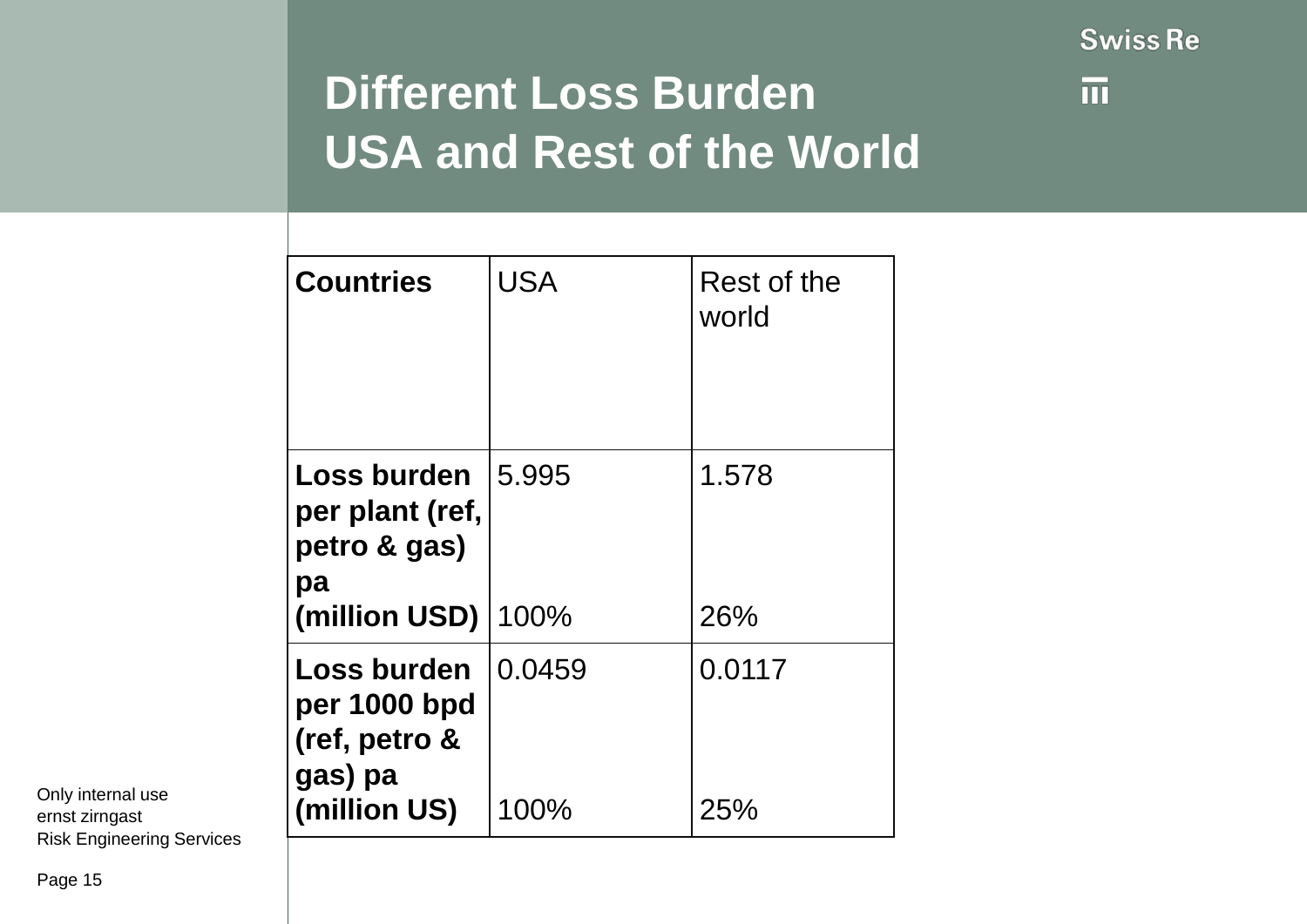

## **Different Loss Burden USA and Rest of the World**

|                                          | <b>Countries</b>                                                        | <b>USA</b>     | Rest of the<br>world |
|------------------------------------------|-------------------------------------------------------------------------|----------------|----------------------|
|                                          | Loss burden<br>per plant (ref,<br>petro & gas)<br>pa<br>(million USD)   | 15.995<br>100% | 1.578<br>26%         |
| Only internal use<br>ernst zirngast<br>. | Loss burden<br>per 1000 bpd<br>(ref, petro &<br>gas) pa<br>(million US) | 0.0459<br>100% | 0.0117<br>25%        |

ernst zirngast Risk Engineering Services